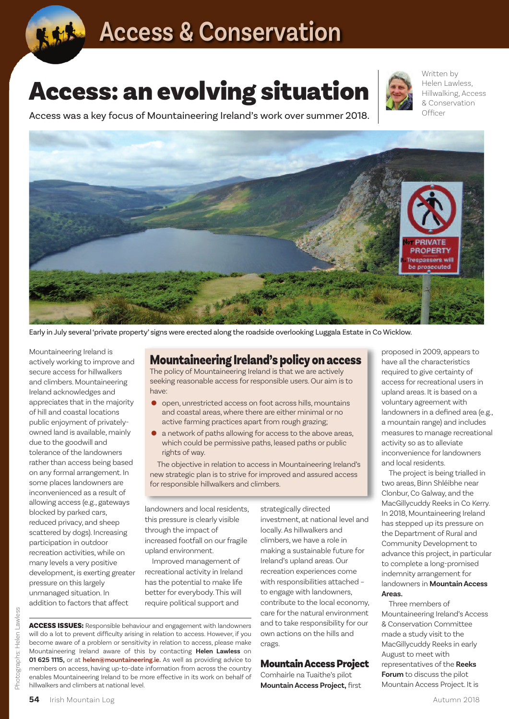

## **Access & Conservation**

# **Access: an evolving situation**



Written by Helen Lawless, Hillwalking, Access & Conservation Officer

Access was a key focus of Mountaineering Ireland's work over summer 2018.



Early in July several 'private property' signs were erected along the roadside overlooking Luggala Estate in Co Wicklow.

Mountaineering Ireland is actively working to improve and secure access for hillwalkers and climbers. Mountaineering Ireland acknowledges and appreciates that in the majority of hill and coastal locations public enjoyment of privatelyowned land is available, mainly due to the goodwill and tolerance of the landowners rather than access being based on any formal arrangement. In some places landowners are inconvenienced as a result of allowing access (e.g., gateways blocked by parked cars, reduced privacy, and sheep scattered by dogs). Increasing participation in outdoor recreation activities, while on many levels a very positive development, is exerting greater pressure on this largely unmanaged situation. In addition to factors that affect

### **Mountaineering Ireland's policyon access**

The policy of Mountaineering Ireland is that we are actively seeking reasonable access for responsible users. Our aim is to have:

- open, unrestricted access on foot across hills, mountains and coastal areas, where there are either minimal or no active farming practices apart from rough grazing;
- <sup>a</sup> network of paths allowing for access to the above areas, which could be permissive paths, leased paths or public rights of way.

The objective in relation to access in Mountaineering Ireland's new strategic plan is to strive for improved and assured access for responsible hillwalkers and climbers.

landowners and local residents, this pressure is clearly visible through the impact of increased footfall on our fragile upland environment.

Improved management of recreational activity in Ireland has the potential to make life better for everybody.This will require political support and

**ACCESS ISSUES:** Responsible behaviour and engagement with landowners will do a lot to prevent difficulty arising in relation to access. However, if you become aware of a problem or sensitivity in relation to access, please make Mountaineering Ireland aware of this by contacting **Helen Lawless** on **01 625 1115,** or at **helen@mountaineering.ie.** As well as providing advice to members on access, having up-to-date information from across the country enables Mountaineering Ireland to be more effective in its work on behalf of investment, at national level and locally.As hillwalkers and climbers, we have a role in making a sustainable future for Ireland's upland areas. Our recreation experiences come with responsibilities attached – to engage with landowners, contribute to the local economy, care for the natural environment and to take responsibility for our own actions on the hills and crags.

strategically directed

#### **MountainAccessProject**

Comhairle na Tuaithe's pilot **MountainAccess Project,** first proposed in 2009, appears to have all the characteristics required to give certainty of access for recreational users in upland areas. It is based on a voluntary agreement with landowners in a defined area (e.g., a mountain range) and includes measures to manage recreational activity so as to alleviate inconvenience for landowners and local residents.

The project is being trialled in two areas, Binn Shléibhe near Clonbur, Co Galway, and the MacGillycuddy Reeks in Co Kerry. In 2018, Mountaineering Ireland has stepped up its pressure on the Department of Rural and Community Development to advance this project, in particular to complete a long-promised indemnity arrangement for landowners in **MountainAccess Areas.**

Three members of Mountaineering Ireland's Access & Conservation Committee made a study visit to the MacGillycuddy Reeks in early August to meet with representatives of the Reeks **Forum** to discuss the pilot Example the matural environment<br>  $\frac{1}{20}$ <br>  $\frac{1}{20}$ <br>  $\frac{1}{20}$ <br>  $\frac{1}{20}$ <br>  $\frac{1}{20}$ <br>  $\frac{1}{20}$ <br>  $\frac{1}{20}$ <br>  $\frac{1}{20}$ <br>  $\frac{1}{20}$ <br>  $\frac{1}{20}$ <br>  $\frac{1}{20}$ <br>  $\frac{1}{20}$ <br>  $\frac{1}{20}$ <br>  $\frac{1}{20}$ <br>  $\frac{1}{20}$ <br>  $\frac{1}{20$ 

hillwalkers and climbers at national level.